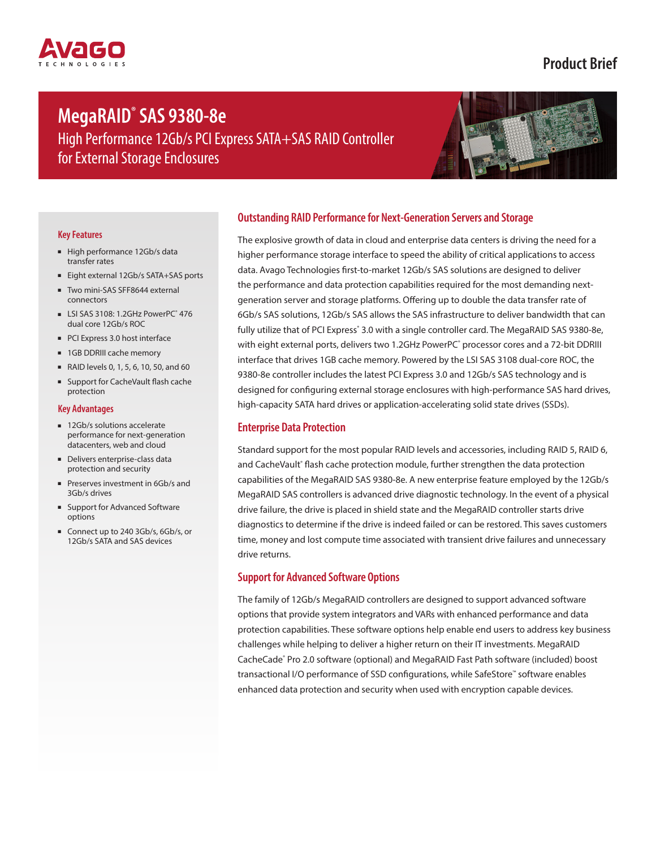# **MegaRAID® SAS 9380-8e**

High Performance 12Gb/s PCI Express SATA+SAS RAID Controller for External Storage Enclosures

**Product Brief**

#### **Key Features**

- High performance 12Gb/s data transfer rates
- Eight external 12Gb/s SATA+SAS ports
- Two mini-SAS SFF8644 external connectors
- LSI SAS 3108: 1.2GHz PowerPC<sup>®</sup> 476 dual core 12Gb/s ROC
- PCI Express 3.0 host interface
- 1GB DDRIII cache memory
- RAID levels 0, 1, 5, 6, 10, 50, and 60
- Support for CacheVault flash cache protection

#### **Key Advantages**

- 12Gb/s solutions accelerate performance for next-generation datacenters, web and cloud
- Delivers enterprise-class data protection and security
- Preserves investment in 6Gb/s and 3Gb/s drives
- Support for Advanced Software options
- Connect up to 240 3Gb/s, 6Gb/s, or 12Gb/s SATA and SAS devices

## **Outstanding RAID Performance for Next-Generation Servers and Storage**

The explosive growth of data in cloud and enterprise data centers is driving the need for a higher performance storage interface to speed the ability of critical applications to access data. Avago Technologies first-to-market 12Gb/s SAS solutions are designed to deliver the performance and data protection capabilities required for the most demanding nextgeneration server and storage platforms. Offering up to double the data transfer rate of 6Gb/s SAS solutions, 12Gb/s SAS allows the SAS infrastructure to deliver bandwidth that can fully utilize that of PCI Express˚ 3.0 with a single controller card. The MegaRAID SAS 9380-8e, with eight external ports, delivers two 1.2GHz PowerPC<sup>®</sup> processor cores and a 72-bit DDRIII interface that drives 1GB cache memory. Powered by the LSI SAS 3108 dual-core ROC, the 9380-8e controller includes the latest PCI Express 3.0 and 12Gb/s SAS technology and is designed for configuring external storage enclosures with high-performance SAS hard drives, high-capacity SATA hard drives or application-accelerating solid state drives (SSDs).

## **Enterprise Data Protection**

Standard support for the most popular RAID levels and accessories, including RAID 5, RAID 6, and CacheVault° flash cache protection module, further strengthen the data protection capabilities of the MegaRAID SAS 9380-8e. A new enterprise feature employed by the 12Gb/s MegaRAID SAS controllers is advanced drive diagnostic technology. In the event of a physical drive failure, the drive is placed in shield state and the MegaRAID controller starts drive diagnostics to determine if the drive is indeed failed or can be restored. This saves customers time, money and lost compute time associated with transient drive failures and unnecessary drive returns.

# **Support for Advanced Software Options**

The family of 12Gb/s MegaRAID controllers are designed to support advanced software options that provide system integrators and VARs with enhanced performance and data protection capabilities. These software options help enable end users to address key business challenges while helping to deliver a higher return on their IT investments. MegaRAID CacheCade® Pro 2.0 software (optional) and MegaRAID Fast Path software (included) boost transactional I/O performance of SSD configurations, while SafeStore™ software enables enhanced data protection and security when used with encryption capable devices.